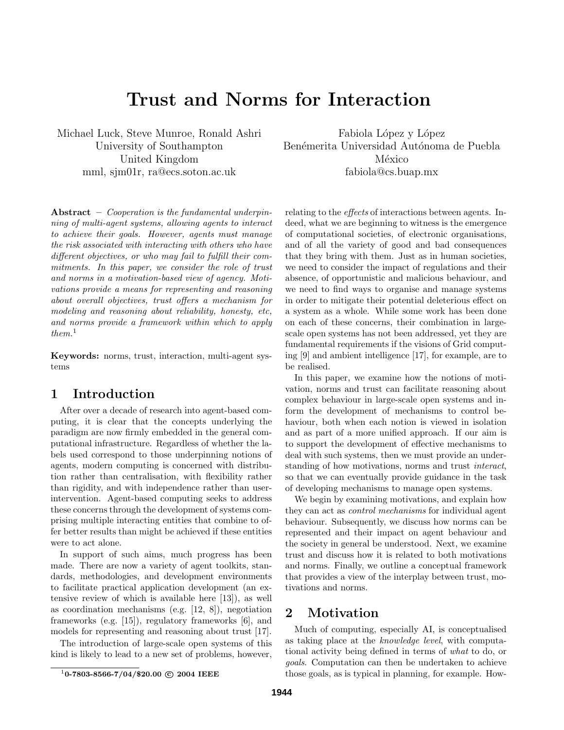# Trust and Norms for Interaction

Michael Luck, Steve Munroe, Ronald Ashri University of Southampton United Kingdom mml, sjm01r, ra@ecs.soton.ac.uk

Abstract – *Cooperation is the fundamental underpin*ning of multi-agent systems, allowing agents to interact to achieve their goals. However, agents must manage the risk associated with interacting with others who have different objectives, or who may fail to fulfill their commitments. In this paper, we consider the role of trust and norms in a motivation-based view of agency. Motivations provide a means for representing and reasoning about overall objectives, trust offers a mechanism for modeling and reasoning about reliability, honesty, etc, and norms provide a framework within which to apply  $then.<sup>1</sup>$ 

Keywords: norms, trust, interaction, multi-agent systems

## 1 Introduction

After over a decade of research into agent-based computing, it is clear that the concepts underlying the paradigm are now firmly embedded in the general computational infrastructure. Regardless of whether the labels used correspond to those underpinning notions of agents, modern computing is concerned with distribution rather than centralisation, with flexibility rather than rigidity, and with independence rather than userintervention. Agent-based computing seeks to address these concerns through the development of systems comprising multiple interacting entities that combine to offer better results than might be achieved if these entities were to act alone.

In support of such aims, much progress has been made. There are now a variety of agent toolkits, standards, methodologies, and development environments to facilitate practical application development (an extensive review of which is available here [13]), as well as coordination mechanisms (e.g. [12, 8]), negotiation frameworks (e.g. [15]), regulatory frameworks [6], and models for representing and reasoning about trust [17].

The introduction of large-scale open systems of this kind is likely to lead to a new set of problems, however,

Fabiola López y López Benémerita Universidad Autónoma de Puebla México fabiola@cs.buap.mx

relating to the effects of interactions between agents. Indeed, what we are beginning to witness is the emergence of computational societies, of electronic organisations, and of all the variety of good and bad consequences that they bring with them. Just as in human societies, we need to consider the impact of regulations and their absence, of opportunistic and malicious behaviour, and we need to find ways to organise and manage systems in order to mitigate their potential deleterious effect on a system as a whole. While some work has been done on each of these concerns, their combination in largescale open systems has not been addressed, yet they are fundamental requirements if the visions of Grid computing [9] and ambient intelligence [17], for example, are to be realised.

In this paper, we examine how the notions of motivation, norms and trust can facilitate reasoning about complex behaviour in large-scale open systems and inform the development of mechanisms to control behaviour, both when each notion is viewed in isolation and as part of a more unified approach. If our aim is to support the development of effective mechanisms to deal with such systems, then we must provide an understanding of how motivations, norms and trust interact, so that we can eventually provide guidance in the task of developing mechanisms to manage open systems.

We begin by examining motivations, and explain how they can act as control mechanisms for individual agent behaviour. Subsequently, we discuss how norms can be represented and their impact on agent behaviour and the society in general be understood. Next, we examine trust and discuss how it is related to both motivations and norms. Finally, we outline a conceptual framework that provides a view of the interplay between trust, motivations and norms.

## 2 Motivation

Much of computing, especially AI, is conceptualised as taking place at the knowledge level, with computational activity being defined in terms of what to do, or goals. Computation can then be undertaken to achieve those goals, as is typical in planning, for example. How-

 $10$ -7803-8566-7/04/\$20.00 © 2004 IEEE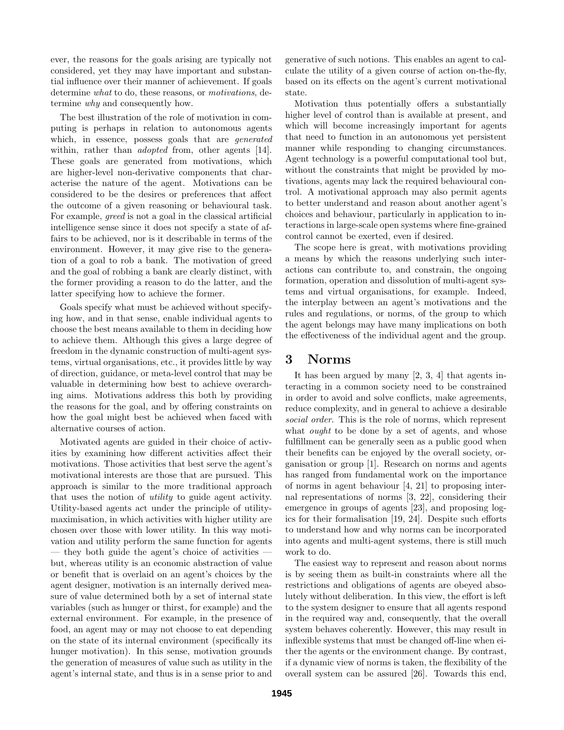ever, the reasons for the goals arising are typically not considered, yet they may have important and substantial influence over their manner of achievement. If goals determine what to do, these reasons, or *motivations*, determine why and consequently how.

The best illustration of the role of motivation in computing is perhaps in relation to autonomous agents which, in essence, possess goals that are *generated* within, rather than *adopted* from, other agents [14]. These goals are generated from motivations, which are higher-level non-derivative components that characterise the nature of the agent. Motivations can be considered to be the desires or preferences that affect the outcome of a given reasoning or behavioural task. For example, greed is not a goal in the classical artificial intelligence sense since it does not specify a state of affairs to be achieved, nor is it describable in terms of the environment. However, it may give rise to the generation of a goal to rob a bank. The motivation of greed and the goal of robbing a bank are clearly distinct, with the former providing a reason to do the latter, and the latter specifying how to achieve the former.

Goals specify what must be achieved without specifying how, and in that sense, enable individual agents to choose the best means available to them in deciding how to achieve them. Although this gives a large degree of freedom in the dynamic construction of multi-agent systems, virtual organisations, etc., it provides little by way of direction, guidance, or meta-level control that may be valuable in determining how best to achieve overarching aims. Motivations address this both by providing the reasons for the goal, and by offering constraints on how the goal might best be achieved when faced with alternative courses of action.

Motivated agents are guided in their choice of activities by examining how different activities affect their motivations. Those activities that best serve the agent's motivational interests are those that are pursued. This approach is similar to the more traditional approach that uses the notion of utility to guide agent activity. Utility-based agents act under the principle of utilitymaximisation, in which activities with higher utility are chosen over those with lower utility. In this way motivation and utility perform the same function for agents — they both guide the agent's choice of activities but, whereas utility is an economic abstraction of value or benefit that is overlaid on an agent's choices by the agent designer, motivation is an internally derived measure of value determined both by a set of internal state variables (such as hunger or thirst, for example) and the external environment. For example, in the presence of food, an agent may or may not choose to eat depending on the state of its internal environment (specifically its hunger motivation). In this sense, motivation grounds the generation of measures of value such as utility in the agent's internal state, and thus is in a sense prior to and generative of such notions. This enables an agent to calculate the utility of a given course of action on-the-fly, based on its effects on the agent's current motivational state.

Motivation thus potentially offers a substantially higher level of control than is available at present, and which will become increasingly important for agents that need to function in an autonomous yet persistent manner while responding to changing circumstances. Agent technology is a powerful computational tool but, without the constraints that might be provided by motivations, agents may lack the required behavioural control. A motivational approach may also permit agents to better understand and reason about another agent's choices and behaviour, particularly in application to interactions in large-scale open systems where fine-grained control cannot be exerted, even if desired.

The scope here is great, with motivations providing a means by which the reasons underlying such interactions can contribute to, and constrain, the ongoing formation, operation and dissolution of multi-agent systems and virtual organisations, for example. Indeed, the interplay between an agent's motivations and the rules and regulations, or norms, of the group to which the agent belongs may have many implications on both the effectiveness of the individual agent and the group.

## 3 Norms

It has been argued by many [2, 3, 4] that agents interacting in a common society need to be constrained in order to avoid and solve conflicts, make agreements, reduce complexity, and in general to achieve a desirable social order. This is the role of norms, which represent what *ought* to be done by a set of agents, and whose fulfillment can be generally seen as a public good when their benefits can be enjoyed by the overall society, organisation or group [1]. Research on norms and agents has ranged from fundamental work on the importance of norms in agent behaviour [4, 21] to proposing internal representations of norms [3, 22], considering their emergence in groups of agents [23], and proposing logics for their formalisation [19, 24]. Despite such efforts to understand how and why norms can be incorporated into agents and multi-agent systems, there is still much work to do.

The easiest way to represent and reason about norms is by seeing them as built-in constraints where all the restrictions and obligations of agents are obeyed absolutely without deliberation. In this view, the effort is left to the system designer to ensure that all agents respond in the required way and, consequently, that the overall system behaves coherently. However, this may result in inflexible systems that must be changed off-line when either the agents or the environment change. By contrast, if a dynamic view of norms is taken, the flexibility of the overall system can be assured [26]. Towards this end,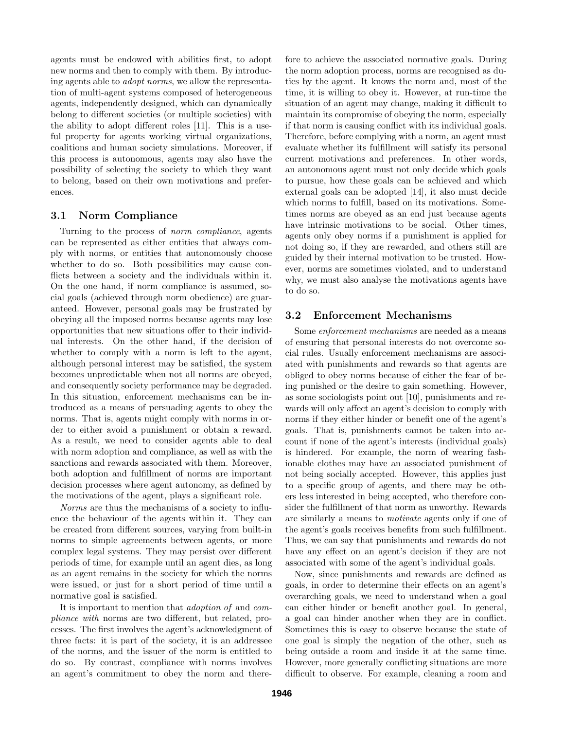agents must be endowed with abilities first, to adopt new norms and then to comply with them. By introducing agents able to adopt norms, we allow the representation of multi-agent systems composed of heterogeneous agents, independently designed, which can dynamically belong to different societies (or multiple societies) with the ability to adopt different roles [11]. This is a useful property for agents working virtual organizations, coalitions and human society simulations. Moreover, if this process is autonomous, agents may also have the possibility of selecting the society to which they want to belong, based on their own motivations and preferences.

#### 3.1 Norm Compliance

Turning to the process of norm compliance, agents can be represented as either entities that always comply with norms, or entities that autonomously choose whether to do so. Both possibilities may cause conflicts between a society and the individuals within it. On the one hand, if norm compliance is assumed, social goals (achieved through norm obedience) are guaranteed. However, personal goals may be frustrated by obeying all the imposed norms because agents may lose opportunities that new situations offer to their individual interests. On the other hand, if the decision of whether to comply with a norm is left to the agent, although personal interest may be satisfied, the system becomes unpredictable when not all norms are obeyed, and consequently society performance may be degraded. In this situation, enforcement mechanisms can be introduced as a means of persuading agents to obey the norms. That is, agents might comply with norms in order to either avoid a punishment or obtain a reward. As a result, we need to consider agents able to deal with norm adoption and compliance, as well as with the sanctions and rewards associated with them. Moreover, both adoption and fulfillment of norms are important decision processes where agent autonomy, as defined by the motivations of the agent, plays a significant role.

Norms are thus the mechanisms of a society to influence the behaviour of the agents within it. They can be created from different sources, varying from built-in norms to simple agreements between agents, or more complex legal systems. They may persist over different periods of time, for example until an agent dies, as long as an agent remains in the society for which the norms were issued, or just for a short period of time until a normative goal is satisfied.

It is important to mention that adoption of and compliance with norms are two different, but related, processes. The first involves the agent's acknowledgment of three facts: it is part of the society, it is an addressee of the norms, and the issuer of the norm is entitled to do so. By contrast, compliance with norms involves an agent's commitment to obey the norm and therefore to achieve the associated normative goals. During the norm adoption process, norms are recognised as duties by the agent. It knows the norm and, most of the time, it is willing to obey it. However, at run-time the situation of an agent may change, making it difficult to maintain its compromise of obeying the norm, especially if that norm is causing conflict with its individual goals. Therefore, before complying with a norm, an agent must evaluate whether its fulfillment will satisfy its personal current motivations and preferences. In other words, an autonomous agent must not only decide which goals to pursue, how these goals can be achieved and which external goals can be adopted [14], it also must decide which norms to fulfill, based on its motivations. Sometimes norms are obeyed as an end just because agents have intrinsic motivations to be social. Other times, agents only obey norms if a punishment is applied for not doing so, if they are rewarded, and others still are guided by their internal motivation to be trusted. However, norms are sometimes violated, and to understand why, we must also analyse the motivations agents have to do so.

#### 3.2 Enforcement Mechanisms

Some enforcement mechanisms are needed as a means of ensuring that personal interests do not overcome social rules. Usually enforcement mechanisms are associated with punishments and rewards so that agents are obliged to obey norms because of either the fear of being punished or the desire to gain something. However, as some sociologists point out [10], punishments and rewards will only affect an agent's decision to comply with norms if they either hinder or benefit one of the agent's goals. That is, punishments cannot be taken into account if none of the agent's interests (individual goals) is hindered. For example, the norm of wearing fashionable clothes may have an associated punishment of not being socially accepted. However, this applies just to a specific group of agents, and there may be others less interested in being accepted, who therefore consider the fulfillment of that norm as unworthy. Rewards are similarly a means to motivate agents only if one of the agent's goals receives benefits from such fulfillment. Thus, we can say that punishments and rewards do not have any effect on an agent's decision if they are not associated with some of the agent's individual goals.

Now, since punishments and rewards are defined as goals, in order to determine their effects on an agent's overarching goals, we need to understand when a goal can either hinder or benefit another goal. In general, a goal can hinder another when they are in conflict. Sometimes this is easy to observe because the state of one goal is simply the negation of the other, such as being outside a room and inside it at the same time. However, more generally conflicting situations are more difficult to observe. For example, cleaning a room and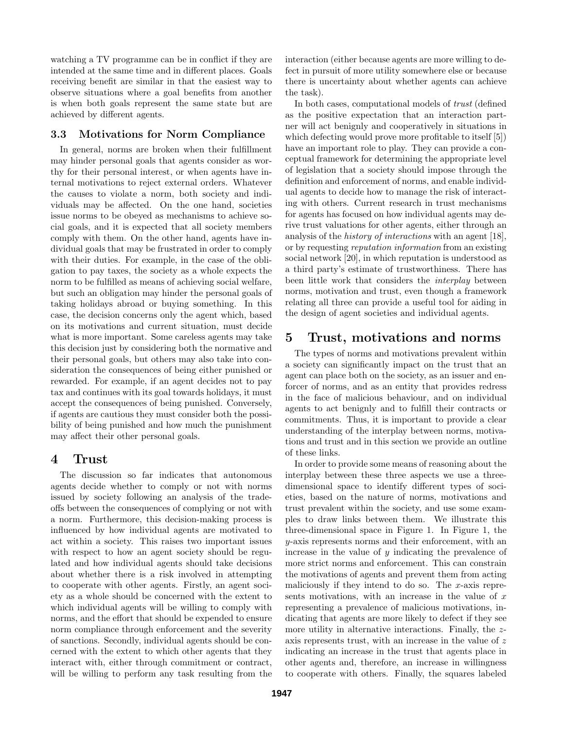watching a TV programme can be in conflict if they are intended at the same time and in different places. Goals receiving benefit are similar in that the easiest way to observe situations where a goal benefits from another is when both goals represent the same state but are achieved by different agents.

#### 3.3 Motivations for Norm Compliance

In general, norms are broken when their fulfillment may hinder personal goals that agents consider as worthy for their personal interest, or when agents have internal motivations to reject external orders. Whatever the causes to violate a norm, both society and individuals may be affected. On the one hand, societies issue norms to be obeyed as mechanisms to achieve social goals, and it is expected that all society members comply with them. On the other hand, agents have individual goals that may be frustrated in order to comply with their duties. For example, in the case of the obligation to pay taxes, the society as a whole expects the norm to be fulfilled as means of achieving social welfare, but such an obligation may hinder the personal goals of taking holidays abroad or buying something. In this case, the decision concerns only the agent which, based on its motivations and current situation, must decide what is more important. Some careless agents may take this decision just by considering both the normative and their personal goals, but others may also take into consideration the consequences of being either punished or rewarded. For example, if an agent decides not to pay tax and continues with its goal towards holidays, it must accept the consequences of being punished. Conversely, if agents are cautious they must consider both the possibility of being punished and how much the punishment may affect their other personal goals.

### 4 Trust

The discussion so far indicates that autonomous agents decide whether to comply or not with norms issued by society following an analysis of the tradeoffs between the consequences of complying or not with a norm. Furthermore, this decision-making process is influenced by how individual agents are motivated to act within a society. This raises two important issues with respect to how an agent society should be regulated and how individual agents should take decisions about whether there is a risk involved in attempting to cooperate with other agents. Firstly, an agent society as a whole should be concerned with the extent to which individual agents will be willing to comply with norms, and the effort that should be expended to ensure norm compliance through enforcement and the severity of sanctions. Secondly, individual agents should be concerned with the extent to which other agents that they interact with, either through commitment or contract, will be willing to perform any task resulting from the

interaction (either because agents are more willing to defect in pursuit of more utility somewhere else or because there is uncertainty about whether agents can achieve the task).

In both cases, computational models of trust (defined as the positive expectation that an interaction partner will act benignly and cooperatively in situations in which defecting would prove more profitable to itself [5]) have an important role to play. They can provide a conceptual framework for determining the appropriate level of legislation that a society should impose through the definition and enforcement of norms, and enable individual agents to decide how to manage the risk of interacting with others. Current research in trust mechanisms for agents has focused on how individual agents may derive trust valuations for other agents, either through an analysis of the history of interactions with an agent [18], or by requesting reputation information from an existing social network [20], in which reputation is understood as a third party's estimate of trustworthiness. There has been little work that considers the interplay between norms, motivation and trust, even though a framework relating all three can provide a useful tool for aiding in the design of agent societies and individual agents.

## 5 Trust, motivations and norms

The types of norms and motivations prevalent within a society can significantly impact on the trust that an agent can place both on the society, as an issuer and enforcer of norms, and as an entity that provides redress in the face of malicious behaviour, and on individual agents to act benignly and to fulfill their contracts or commitments. Thus, it is important to provide a clear understanding of the interplay between norms, motivations and trust and in this section we provide an outline of these links.

In order to provide some means of reasoning about the interplay between these three aspects we use a threedimensional space to identify different types of societies, based on the nature of norms, motivations and trust prevalent within the society, and use some examples to draw links between them. We illustrate this three-dimensional space in Figure 1. In Figure 1, the y-axis represents norms and their enforcement, with an increase in the value of  $y$  indicating the prevalence of more strict norms and enforcement. This can constrain the motivations of agents and prevent them from acting maliciously if they intend to do so. The x-axis represents motivations, with an increase in the value of  $x$ representing a prevalence of malicious motivations, indicating that agents are more likely to defect if they see more utility in alternative interactions. Finally, the zaxis represents trust, with an increase in the value of z indicating an increase in the trust that agents place in other agents and, therefore, an increase in willingness to cooperate with others. Finally, the squares labeled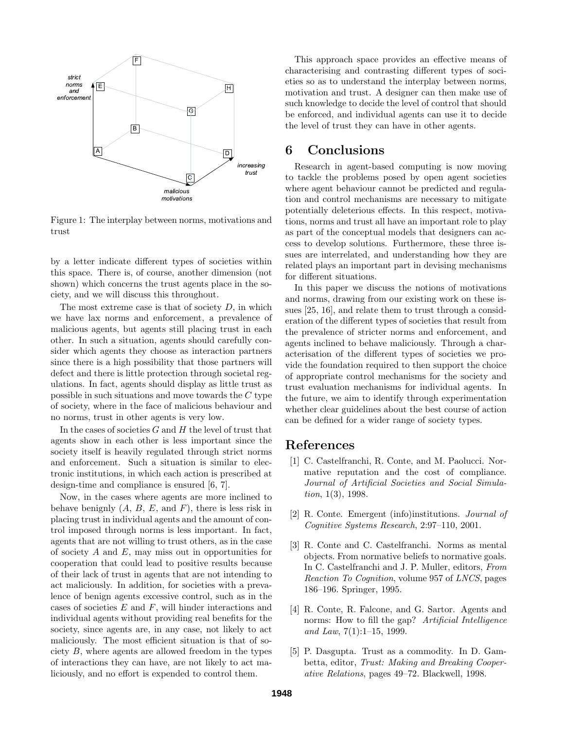

Figure 1: The interplay between norms, motivations and trust

by a letter indicate different types of societies within this space. There is, of course, another dimension (not shown) which concerns the trust agents place in the society, and we will discuss this throughout.

The most extreme case is that of society  $D$ , in which we have lax norms and enforcement, a prevalence of malicious agents, but agents still placing trust in each other. In such a situation, agents should carefully consider which agents they choose as interaction partners since there is a high possibility that those partners will defect and there is little protection through societal regulations. In fact, agents should display as little trust as possible in such situations and move towards the C type of society, where in the face of malicious behaviour and no norms, trust in other agents is very low.

In the cases of societies  $G$  and  $H$  the level of trust that agents show in each other is less important since the society itself is heavily regulated through strict norms and enforcement. Such a situation is similar to electronic institutions, in which each action is prescribed at design-time and compliance is ensured [6, 7].

Now, in the cases where agents are more inclined to behave benignly  $(A, B, E, \text{ and } F)$ , there is less risk in placing trust in individual agents and the amount of control imposed through norms is less important. In fact, agents that are not willing to trust others, as in the case of society  $A$  and  $E$ , may miss out in opportunities for cooperation that could lead to positive results because of their lack of trust in agents that are not intending to act maliciously. In addition, for societies with a prevalence of benign agents excessive control, such as in the cases of societies  $E$  and  $F$ , will hinder interactions and individual agents without providing real benefits for the society, since agents are, in any case, not likely to act maliciously. The most efficient situation is that of society B, where agents are allowed freedom in the types of interactions they can have, are not likely to act maliciously, and no effort is expended to control them.

This approach space provides an effective means of characterising and contrasting different types of societies so as to understand the interplay between norms, motivation and trust. A designer can then make use of such knowledge to decide the level of control that should be enforced, and individual agents can use it to decide the level of trust they can have in other agents.

## 6 Conclusions

Research in agent-based computing is now moving to tackle the problems posed by open agent societies where agent behaviour cannot be predicted and regulation and control mechanisms are necessary to mitigate potentially deleterious effects. In this respect, motivations, norms and trust all have an important role to play as part of the conceptual models that designers can access to develop solutions. Furthermore, these three issues are interrelated, and understanding how they are related plays an important part in devising mechanisms for different situations.

In this paper we discuss the notions of motivations and norms, drawing from our existing work on these issues [25, 16], and relate them to trust through a consideration of the different types of societies that result from the prevalence of stricter norms and enforcement, and agents inclined to behave maliciously. Through a characterisation of the different types of societies we provide the foundation required to then support the choice of appropriate control mechanisms for the society and trust evaluation mechanisms for individual agents. In the future, we aim to identify through experimentation whether clear guidelines about the best course of action can be defined for a wider range of society types.

## References

- [1] C. Castelfranchi, R. Conte, and M. Paolucci. Normative reputation and the cost of compliance. Journal of Artificial Societies and Social Simulation, 1(3), 1998.
- [2] R. Conte. Emergent (info)institutions. Journal of Cognitive Systems Research, 2:97–110, 2001.
- [3] R. Conte and C. Castelfranchi. Norms as mental objects. From normative beliefs to normative goals. In C. Castelfranchi and J. P. Muller, editors, From Reaction To Cognition, volume 957 of LNCS, pages 186–196. Springer, 1995.
- [4] R. Conte, R. Falcone, and G. Sartor. Agents and norms: How to fill the gap? Artificial Intelligence and Law,  $7(1):1-15$ , 1999.
- [5] P. Dasgupta. Trust as a commodity. In D. Gambetta, editor, Trust: Making and Breaking Cooperative Relations, pages 49–72. Blackwell, 1998.